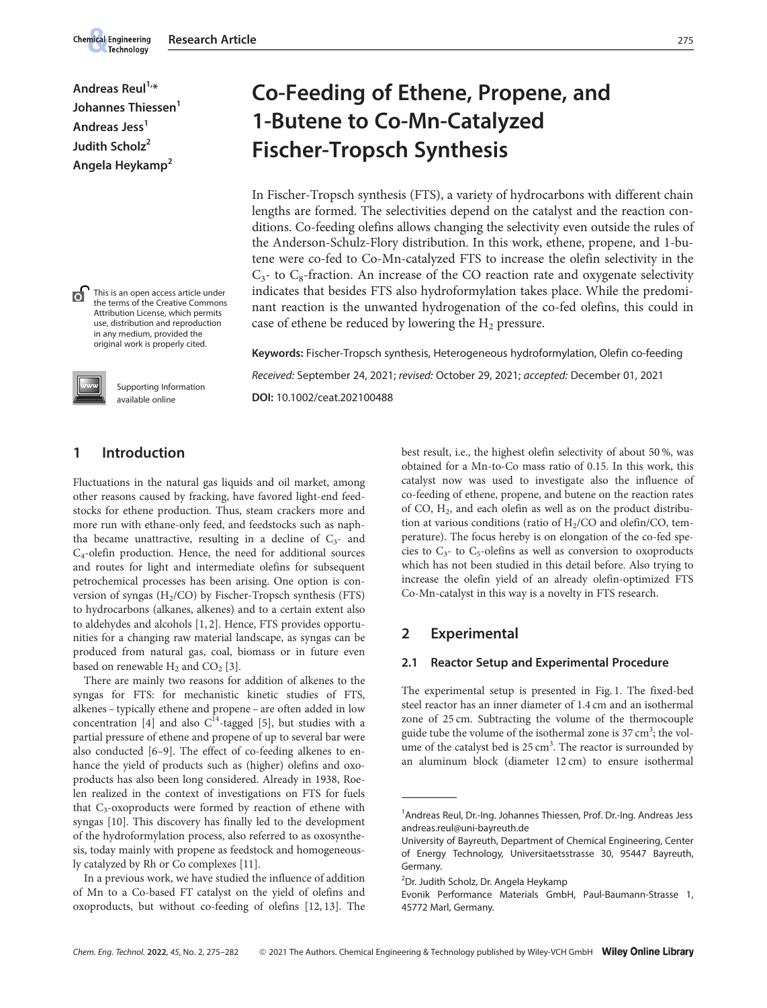Andreas  $\text{Real}^{1,*}$ Johannes Thiessen<sup>1</sup> Andreas Jess<sup>1</sup> Judith Scholz<sup>2</sup> Angela Heykamp<sup>2</sup>

**Chemical Engineering** Technology



 $\overline{a}$ 

Supporting Information available online

This is an open access article under the terms of the Creative Commons Attribution License, which permits

# Co-Feeding of Ethene, Propene, and 1-Butene to Co-Mn-Catalyzed Fischer-Tropsch Synthesis

In Fischer-Tropsch synthesis (FTS), a variety of hydrocarbons with different chain lengths are formed. The selectivities depend on the catalyst and the reaction conditions. Co-feeding olefins allows changing the selectivity even outside the rules of the Anderson-Schulz-Flory distribution. In this work, ethene, propene, and 1-butene were co-fed to Co-Mn-catalyzed FTS to increase the olefin selectivity in the  $C_3$ - to  $C_8$ -fraction. An increase of the CO reaction rate and oxygenate selectivity indicates that besides FTS also hydroformylation takes place. While the predominant reaction is the unwanted hydrogenation of the co-fed olefins, this could in case of ethene be reduced by lowering the  $H_2$  pressure.

Keywords: Fischer-Tropsch synthesis, Heterogeneous hydroformylation, Olefin co-feeding Received: September 24, 2021; revised: October 29, 2021; accepted: December 01, 2021 DOI: 10.1002/ceat.202100488

# 1 Introduction

Fluctuations in the natural gas liquids and oil market, among other reasons caused by fracking, have favored light-end feedstocks for ethene production. Thus, steam crackers more and more run with ethane-only feed, and feedstocks such as naphtha became unattractive, resulting in a decline of  $C_3$ - and C4-olefin production. Hence, the need for additional sources and routes for light and intermediate olefins for subsequent petrochemical processes has been arising. One option is conversion of syngas (H2/CO) by Fischer-Tropsch synthesis (FTS) to hydrocarbons (alkanes, alkenes) and to a certain extent also to aldehydes and alcohols [1, 2]. Hence, FTS provides opportunities for a changing raw material landscape, as syngas can be produced from natural gas, coal, biomass or in future even based on renewable  $H_2$  and  $CO_2$  [3].

There are mainly two reasons for addition of alkenes to the syngas for FTS: for mechanistic kinetic studies of FTS, alkenes – typically ethene and propene – are often added in low concentration [4] and also  $C^{14}$ -tagged [5], but studies with a partial pressure of ethene and propene of up to several bar were also conducted [6–9]. The effect of co-feeding alkenes to enhance the yield of products such as (higher) olefins and oxoproducts has also been long considered. Already in 1938, Roelen realized in the context of investigations on FTS for fuels that C<sub>3</sub>-oxoproducts were formed by reaction of ethene with syngas [10]. This discovery has finally led to the development of the hydroformylation process, also referred to as oxosynthesis, today mainly with propene as feedstock and homogeneously catalyzed by Rh or Co complexes [11].

In a previous work, we have studied the influence of addition of Mn to a Co-based FT catalyst on the yield of olefins and oxoproducts, but without co-feeding of olefins [12, 13]. The best result, i.e., the highest olefin selectivity of about 50 %, was obtained for a Mn-to-Co mass ratio of 0.15. In this work, this catalyst now was used to investigate also the influence of co-feeding of ethene, propene, and butene on the reaction rates of CO,  $H_2$ , and each olefin as well as on the product distribution at various conditions (ratio of  $H_2$ /CO and olefin/CO, temperature). The focus hereby is on elongation of the co-fed species to  $C_3$ - to  $C_5$ -olefins as well as conversion to oxoproducts which has not been studied in this detail before. Also trying to increase the olefin yield of an already olefin-optimized FTS Co-Mn-catalyst in this way is a novelty in FTS research.

# 2 Experimental

#### 2.1 Reactor Setup and Experimental Procedure

The experimental setup is presented in Fig. 1. The fixed-bed steel reactor has an inner diameter of 1.4 cm and an isothermal zone of 25 cm. Subtracting the volume of the thermocouple guide tube the volume of the isothermal zone is 37 cm<sup>3</sup>; the volume of the catalyst bed is 25 cm<sup>3</sup>. The reactor is surrounded by an aluminum block (diameter 12 cm) to ensure isothermal seer reactor<br>
zone of 25 c<br>
guide tube th<br>
ume of the ca<br>
an aluminur<br>
<br>
<br>
Andreas Reul<br>
andreas.reul@

<sup>&</sup>lt;sup>1</sup> Andreas Reul, Dr.-Ing. Johannes Thiessen, Prof. Dr.-Ing. Andreas Jess andreas.reul@uni-bayreuth.de

University of Bayreuth, Department of Chemical Engineering, Center of Energy Technology, Universitaetsstrasse 30, 95447 Bayreuth, Germany.

<sup>&</sup>lt;sup>2</sup>Dr. Judith Scholz, Dr. Angela Heykamp

Evonik Performance Materials GmbH, Paul-Baumann-Strasse 1, 45772 Marl, Germany.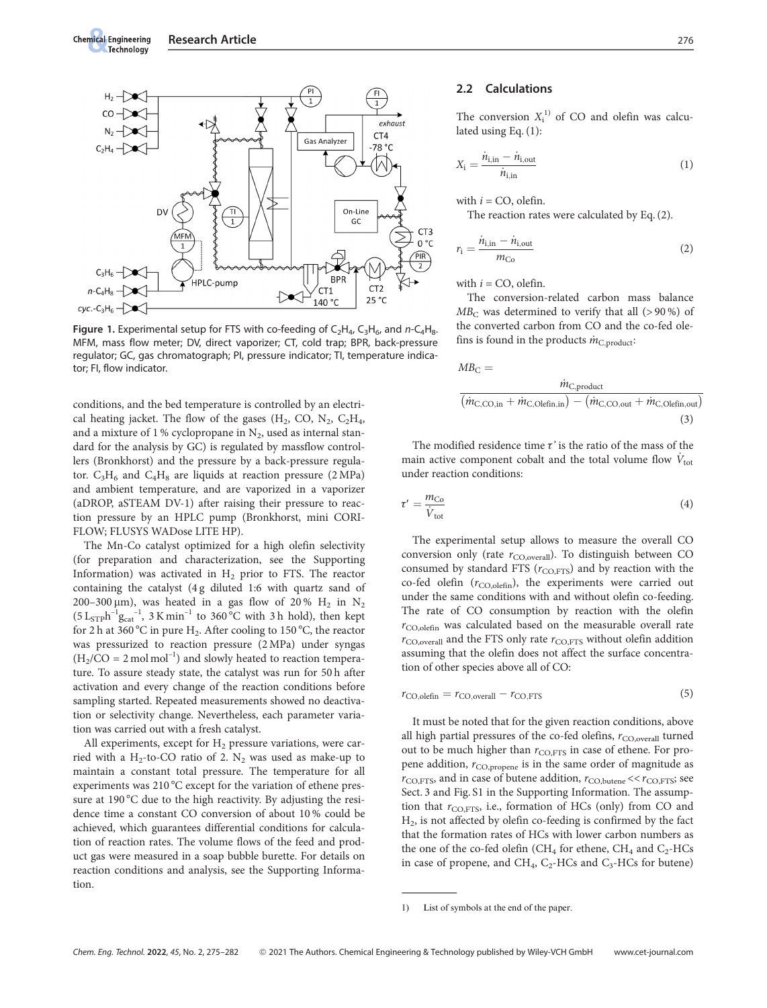

Figure 1. Experimental setup for FTS with co-feeding of  $C_2H_4$ ,  $C_3H_6$ , and  $n-C_4H_8$ . MFM, mass flow meter; DV, direct vaporizer; CT, cold trap; BPR, back-pressure regulator; GC, gas chromatograph; PI, pressure indicator; TI, temperature indicator; FI, flow indicator.

conditions, and the bed temperature is controlled by an electrical heating jacket. The flow of the gases  $(H_2, CO, N_2, C_2H_4,$ and a mixture of 1 % cyclopropane in  $N_2$ , used as internal standard for the analysis by GC) is regulated by massflow controllers (Bronkhorst) and the pressure by a back-pressure regulator.  $C_3H_6$  and  $C_4H_8$  are liquids at reaction pressure (2 MPa) and ambient temperature, and are vaporized in a vaporizer (aDROP, aSTEAM DV-1) after raising their pressure to reaction pressure by an HPLC pump (Bronkhorst, mini CORI-FLOW; FLUSYS WADose LITE HP).

The Mn-Co catalyst optimized for a high olefin selectivity (for preparation and characterization, see the Supporting Information) was activated in  $H_2$  prior to FTS. The reactor containing the catalyst (4 g diluted 1:6 with quartz sand of 200-300  $\mu$ m), was heated in a gas flow of 20% H<sub>2</sub> in N<sub>2</sub>  $(5 \text{ L}_{\text{STP}} \text{h}^{-1} \text{g}_{\text{cat}}^{-1}, 3 \text{ K} \text{min}^{-1}$  to 360 °C with 3 h hold), then kept for 2 h at 360 °C in pure H<sub>2</sub>. After cooling to 150 °C, the reactor was pressurized to reaction pressure (2 MPa) under syngas  $(H_2/CO = 2 \text{ mol mol}^{-1})$  and slowly heated to reaction temperature. To assure steady state, the catalyst was run for 50 h after activation and every change of the reaction conditions before sampling started. Repeated measurements showed no deactivation or selectivity change. Nevertheless, each parameter variation was carried out with a fresh catalyst.

All experiments, except for  $H_2$  pressure variations, were carried with a H<sub>2</sub>-to-CO ratio of 2. N<sub>2</sub> was used as make-up to maintain a constant total pressure. The temperature for all experiments was 210  $^{\circ}$ C except for the variation of ethene pressure at 190 °C due to the high reactivity. By adjusting the residence time a constant CO conversion of about 10 % could be achieved, which guarantees differential conditions for calculation of reaction rates. The volume flows of the feed and product gas were measured in a soap bubble burette. For details on reaction conditions and analysis, see the Supporting Information.

#### 2.2 Calculations

The conversion  $X_i^{(1)}$  of CO and olefin was calculated using Eq. (1):

$$
X_{\mathbf{i}} = \frac{\dot{n}_{\mathbf{i},\text{in}} - \dot{n}_{\mathbf{i},\text{out}}}{\dot{n}_{\mathbf{i},\text{in}}} \tag{1}
$$

with  $i = CO$ , olefin.

The reaction rates were calculated by Eq. (2).

$$
r_{\rm i} = \frac{\dot{n}_{\rm i,in} - \dot{n}_{\rm i,out}}{m_{\rm Co}}\tag{2}
$$

with  $i = CO$ , olefin.

The conversion-related carbon mass balance  $MB<sub>C</sub>$  was determined to verify that all (>90%) of the converted carbon from CO and the co-fed olefins is found in the products  $\dot{m}_{\text{C,product}}$ :

$$
MB_{\rm C} = \frac{\dot{m}_{\rm C,product}}{(\dot{m}_{\rm C,CO,in} + \dot{m}_{\rm C,Olefin,in}) - (\dot{m}_{\rm C,CO,out} + \dot{m}_{\rm C,Olefin,out})}
$$
\n(3)

The modified residence time  $\tau$ ' is the ratio of the mass of the main active component cobalt and the total volume flow  $V_{\text{tot}}$ under reaction conditions:

$$
\tau' = \frac{m_{\text{Co}}}{\dot{V}_{\text{tot}}} \tag{4}
$$

The experimental setup allows to measure the overall CO conversion only (rate  $r_{\text{CO,overall}}$ ). To distinguish between CO consumed by standard FTS ( $r_{\text{CO,FTS}}$ ) and by reaction with the co-fed olefin  $(r_{\text{CO,olefin}})$ , the experiments were carried out under the same conditions with and without olefin co-feeding. The rate of CO consumption by reaction with the olefin  $r_{\text{CO,olefin}}$  was calculated based on the measurable overall rate  $r_{\rm CO, overall}$  and the FTS only rate  $r_{\rm CO, FTS}$  without olefin addition assuming that the olefin does not affect the surface concentration of other species above all of CO:

rCO;olefin ¼ rCO;overall rCO;FTS (5)

It must be noted that for the given reaction conditions, above all high partial pressures of the co-fed olefins,  $r_{\rm CO, overall}$  turned out to be much higher than  $r_{\text{CO,FTS}}$  in case of ethene. For propene addition,  $r_{\rm CO, propene}$  is in the same order of magnitude as  $r_{\text{CO,FTS}}$ , and in case of butene addition,  $r_{\text{CO,butene}} \ll r_{\text{CO,FTS}}$ ; see Sect. 3 and Fig. S1 in the Supporting Information. The assumption that  $r_{\text{CO,FTS}}$ , i.e., formation of HCs (only) from CO and H2, is not affected by olefin co-feeding is confirmed by the fact that the formation rates of HCs with lower carbon numbers as the one of the co-fed olefin (CH<sub>4</sub> for ethene, CH<sub>4</sub> and C<sub>2</sub>-HCs in case of propene, and  $CH_4$ ,  $C_2$ -HCs and  $C_3$ -HCs for butene) tion that  $r_{CC}$ <br>H<sub>2</sub>, is not aff<br>that the form<br>the one of th<br>in case of production<br> $\overline{r}$ <br> $\overline{r}$ <br> $\overline{r}$ <br> $\overline{r}$ <br> $\overline{r}$ <br> $\overline{r}$ <br> $\overline{r}$ <br> $\overline{r}$ <br> $\overline{r}$ <br> $\overline{r}$ <br> $\overline{r}$ <br> $\overline{r}$ <br> $\overline{r}$ <br> $\overline{r}$ <br> $\overline{r}$ <br> $\$ 

<sup>1)</sup> List of symbols at the end of the paper.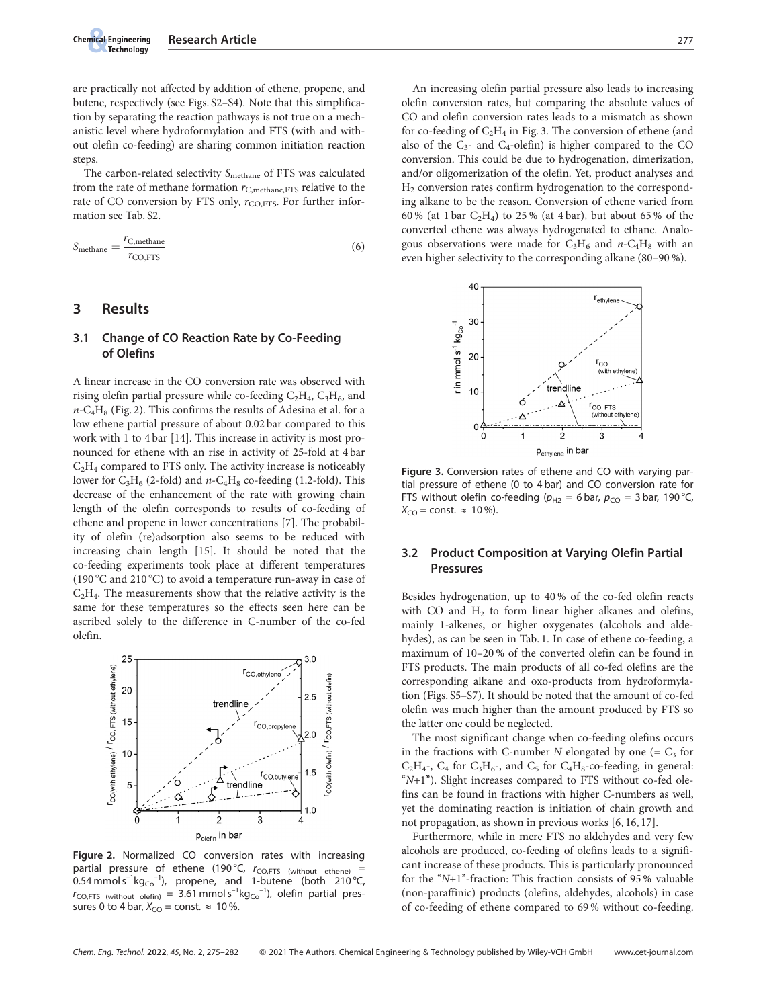

are practically not affected by addition of ethene, propene, and butene, respectively (see Figs. S2–S4). Note that this simplification by separating the reaction pathways is not true on a mechanistic level where hydroformylation and FTS (with and without olefin co-feeding) are sharing common initiation reaction steps.

The carbon-related selectivity S<sub>methane</sub> of FTS was calculated from the rate of methane formation  $r_{\text{C,methane,FTS}}$  relative to the rate of CO conversion by FTS only,  $r_{\text{CO,FTS}}$ . For further information see Tab. S2.

$$
S_{\text{methane}} = \frac{r_{\text{C},\text{methane}}}{r_{\text{CO,FTS}}} \tag{6}
$$

## 3 Results

### 3.1 Change of CO Reaction Rate by Co-Feeding of Olefins

A linear increase in the CO conversion rate was observed with rising olefin partial pressure while co-feeding  $C_2H_4$ ,  $C_3H_6$ , and  $n-C_4H_8$  (Fig. 2). This confirms the results of Adesina et al. for a low ethene partial pressure of about 0.02 bar compared to this work with 1 to 4 bar [14]. This increase in activity is most pronounced for ethene with an rise in activity of 25-fold at 4 bar  $C<sub>2</sub>H<sub>4</sub>$  compared to FTS only. The activity increase is noticeably lower for  $C_3H_6$  (2-fold) and n- $C_4H_8$  co-feeding (1.2-fold). This decrease of the enhancement of the rate with growing chain length of the olefin corresponds to results of co-feeding of ethene and propene in lower concentrations [7]. The probability of olefin (re)adsorption also seems to be reduced with increasing chain length [15]. It should be noted that the co-feeding experiments took place at different temperatures (190 °C and 210 °C) to avoid a temperature run-away in case of  $C<sub>2</sub>H<sub>4</sub>$ . The measurements show that the relative activity is the same for these temperatures so the effects seen here can be ascribed solely to the difference in C-number of the co-fed olefin.



Figure 2. Normalized CO conversion rates with increasing partial pressure of ethene (190 °C,  $r_{\text{CO,FTS}}$  (without ethene) = 0.54 mmol s<sup>-1</sup>kg<sub>co</sub><sup>-1</sup>), propene, and 1-butene (both 210 °C,  $r_{CO,FTS}$  (without olefin) = 3.61 mmol  $s^{-1}kg_{Co}^{-1}$ ), olefin partial pressures 0 to 4 bar,  $X_{CO}$  = const.  $\approx 10\%$ .

An increasing olefin partial pressure also leads to increasing olefin conversion rates, but comparing the absolute values of CO and olefin conversion rates leads to a mismatch as shown for co-feeding of  $C_2H_4$  in Fig. 3. The conversion of ethene (and also of the  $C_{3}$ - and  $C_{4}$ -olefin) is higher compared to the CO conversion. This could be due to hydrogenation, dimerization, and/or oligomerization of the olefin. Yet, product analyses and H2 conversion rates confirm hydrogenation to the corresponding alkane to be the reason. Conversion of ethene varied from 60 % (at 1 bar  $C_2H_4$ ) to 25 % (at 4 bar), but about 65 % of the converted ethene was always hydrogenated to ethane. Analogous observations were made for  $C_3H_6$  and  $n$ -C<sub>4</sub>H<sub>8</sub> with an even higher selectivity to the corresponding alkane (80–90 %).



Figure 3. Conversion rates of ethene and CO with varying partial pressure of ethene (0 to 4 bar) and CO conversion rate for FTS without olefin co-feeding ( $p_{H2} = 6$  bar,  $p_{CO} = 3$  bar, 190 °C  $X_{CO}$  = const.  $\approx 10\%$ ).

## 3.2 Product Composition at Varying Olefin Partial Pressures

Besides hydrogenation, up to 40 % of the co-fed olefin reacts with CO and  $H_2$  to form linear higher alkanes and olefins, mainly 1-alkenes, or higher oxygenates (alcohols and aldehydes), as can be seen in Tab. 1. In case of ethene co-feeding, a maximum of 10–20 % of the converted olefin can be found in FTS products. The main products of all co-fed olefins are the corresponding alkane and oxo-products from hydroformylation (Figs. S5–S7). It should be noted that the amount of co-fed olefin was much higher than the amount produced by FTS so the latter one could be neglected.

The most significant change when co-feeding olefins occurs in the fractions with C-number N elongated by one  $(= C<sub>3</sub>$  for  $C_2H_4$ -,  $C_4$  for  $C_3H_6$ -, and  $C_5$  for  $C_4H_8$ -co-feeding, in general:  $(N+1)$ "). Slight increases compared to FTS without co-fed olefins can be found in fractions with higher C-numbers as well, yet the dominating reaction is initiation of chain growth and not propagation, as shown in previous works [6, 16, 17].

Furthermore, while in mere FTS no aldehydes and very few alcohols are produced, co-feeding of olefins leads to a significant increase of these products. This is particularly pronounced for the " $N+1$ "-fraction: This fraction consists of 95% valuable (non-paraffinic) products (olefins, aldehydes, alcohols) in case of co-feeding of ethene compared to 69 % without co-feeding.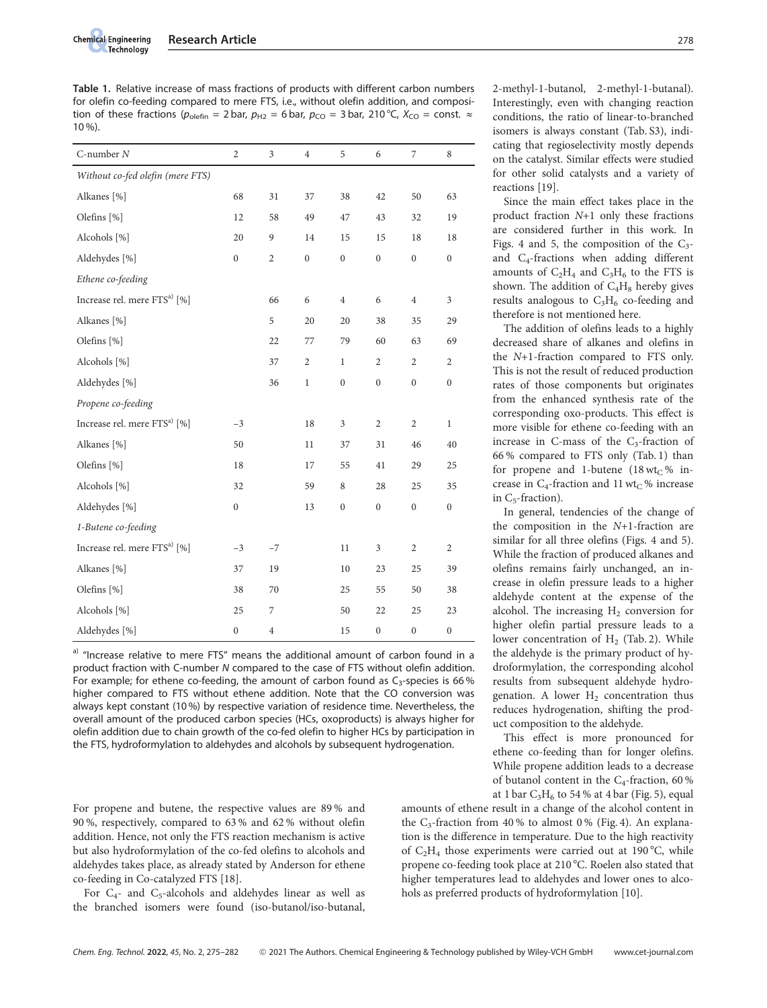Table 1. Relative increase of mass fractions of products with different carbon numbers for olefin co-feeding compared to mere FTS, i.e., without olefin addition, and composition of these fractions ( $p_{\text{olefin}} = 2$  bar,  $p_{\text{H2}} = 6$  bar,  $p_{\text{CO}} = 3$  bar, 210 °C,  $X_{\text{CO}} = \text{const.} \approx$ 10 %).

| $C$ -number $N$                          | $\sqrt{2}$       | 3              | $\overline{4}$   | 5                | 6                | 7                | 8                |
|------------------------------------------|------------------|----------------|------------------|------------------|------------------|------------------|------------------|
| Without co-fed olefin (mere FTS)         |                  |                |                  |                  |                  |                  |                  |
| Alkanes [%]                              | 68               | 31             | 37               | 38               | 42               | 50               | 63               |
| Olefins [%]                              | 12               | 58             | 49               | 47               | 43               | 32               | 19               |
| Alcohols [%]                             | 20               | 9              | 14               | 15               | 15               | 18               | 18               |
| Aldehydes [%]                            | $\boldsymbol{0}$ | $\overline{2}$ | $\boldsymbol{0}$ | $\boldsymbol{0}$ | $\boldsymbol{0}$ | $\boldsymbol{0}$ | $\boldsymbol{0}$ |
| Ethene co-feeding                        |                  |                |                  |                  |                  |                  |                  |
| Increase rel. mere FTS <sup>a)</sup> [%] |                  | 66             | 6                | $\overline{4}$   | 6                | $\,4$            | 3                |
| Alkanes [%]                              |                  | 5              | 20               | 20               | 38               | 35               | 29               |
| Olefins [%]                              |                  | 22             | 77               | 79               | 60               | 63               | 69               |
| Alcohols [%]                             |                  | 37             | $\overline{2}$   | $\mathbf{1}$     | $\overline{c}$   | 2                | $\overline{2}$   |
| Aldehydes [%]                            |                  | 36             | $\mathbf 1$      | $\boldsymbol{0}$ | $\boldsymbol{0}$ | $\boldsymbol{0}$ | $\boldsymbol{0}$ |
| Propene co-feeding                       |                  |                |                  |                  |                  |                  |                  |
| Increase rel. mere FTS <sup>a)</sup> [%] | $-3$             |                | 18               | 3                | $\overline{c}$   | $\sqrt{2}$       | $\mathbf{1}$     |
| Alkanes [%]                              | 50               |                | $11\,$           | 37               | 31               | 46               | 40               |
| Olefins [%]                              | 18               |                | 17               | 55               | 41               | 29               | 25               |
| Alcohols [%]                             | 32               |                | 59               | 8                | 28               | 25               | 35               |
| Aldehydes [%]                            | $\boldsymbol{0}$ |                | 13               | $\boldsymbol{0}$ | $\boldsymbol{0}$ | $\boldsymbol{0}$ | $\boldsymbol{0}$ |
| 1-Butene co-feeding                      |                  |                |                  |                  |                  |                  |                  |
| Increase rel. mere FTS <sup>a)</sup> [%] | $-3$             | $-7$           |                  | 11               | $\mathfrak{Z}$   | $\sqrt{2}$       | $\overline{c}$   |
| Alkanes [%]                              | 37               | 19             |                  | 10               | 23               | 25               | 39               |
| Olefins [%]                              | 38               | 70             |                  | 25               | 55               | 50               | 38               |
| Alcohols [%]                             | 25               | 7              |                  | 50               | 22               | 25               | 23               |
| Aldehydes [%]                            | $\boldsymbol{0}$ | $\overline{4}$ |                  | 15               | $\mathbf 0$      | $\boldsymbol{0}$ | $\boldsymbol{0}$ |

a) "Increase relative to mere FTS" means the additional amount of carbon found in a product fraction with C-number N compared to the case of FTS without olefin addition. For example; for ethene co-feeding, the amount of carbon found as  $C_3$ -species is 66% higher compared to FTS without ethene addition. Note that the CO conversion was always kept constant (10 %) by respective variation of residence time. Nevertheless, the overall amount of the produced carbon species (HCs, oxoproducts) is always higher for olefin addition due to chain growth of the co-fed olefin to higher HCs by participation in the FTS, hydroformylation to aldehydes and alcohols by subsequent hydrogenation.

For propene and butene, the respective values are 89 % and 90 %, respectively, compared to 63 % and 62 % without olefin addition. Hence, not only the FTS reaction mechanism is active but also hydroformylation of the co-fed olefins to alcohols and aldehydes takes place, as already stated by Anderson for ethene co-feeding in Co-catalyzed FTS [18].

For  $C_{4-}$  and  $C_{5}$ -alcohols and aldehydes linear as well as the branched isomers were found (iso-butanol/iso-butanal, 2-methyl-1-butanol, 2-methyl-1-butanal). Interestingly, even with changing reaction conditions, the ratio of linear-to-branched isomers is always constant (Tab. S3), indicating that regioselectivity mostly depends on the catalyst. Similar effects were studied for other solid catalysts and a variety of reactions [19].

Since the main effect takes place in the product fraction N+1 only these fractions are considered further in this work. In Figs. 4 and 5, the composition of the  $C_3$ and C4-fractions when adding different amounts of  $C_2H_4$  and  $C_3H_6$  to the FTS is shown. The addition of  $C_4H_8$  hereby gives results analogous to  $C_3H_6$  co-feeding and therefore is not mentioned here.

The addition of olefins leads to a highly decreased share of alkanes and olefins in the N+1-fraction compared to FTS only. This is not the result of reduced production rates of those components but originates from the enhanced synthesis rate of the corresponding oxo-products. This effect is more visible for ethene co-feeding with an increase in C-mass of the  $C_3$ -fraction of 66 % compared to FTS only (Tab. 1) than for propene and 1-butene (18 wt<sub>C</sub>% increase in  $C_4$ -fraction and 11 wt<sub>C</sub>% increase in  $C_5$ -fraction).

In general, tendencies of the change of the composition in the  $N+1$ -fraction are similar for all three olefins (Figs. 4 and 5). While the fraction of produced alkanes and olefins remains fairly unchanged, an increase in olefin pressure leads to a higher aldehyde content at the expense of the alcohol. The increasing  $H_2$  conversion for higher olefin partial pressure leads to a lower concentration of  $H<sub>2</sub>$  (Tab. 2). While the aldehyde is the primary product of hydroformylation, the corresponding alcohol results from subsequent aldehyde hydrogenation. A lower  $H_2$  concentration thus reduces hydrogenation, shifting the product composition to the aldehyde.

This effect is more pronounced for ethene co-feeding than for longer olefins. While propene addition leads to a decrease of butanol content in the C<sub>4</sub>-fraction, 60 % at 1 bar  $C_3H_6$  to 54 % at 4 bar (Fig. 5), equal

amounts of ethene result in a change of the alcohol content in the  $C_3$ -fraction from 40% to almost 0% (Fig. 4). An explanation is the difference in temperature. Due to the high reactivity of  $C_2H_4$  those experiments were carried out at 190 °C, while propene co-feeding took place at 210 °C. Roelen also stated that higher temperatures lead to aldehydes and lower ones to alcohols as preferred products of hydroformylation [10].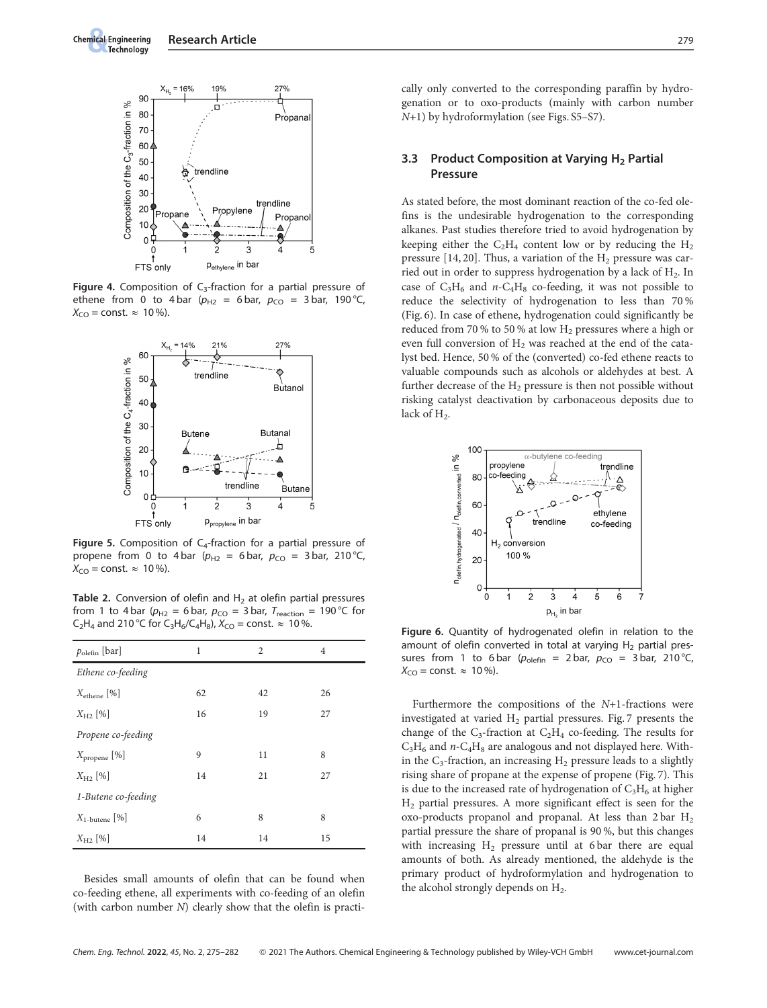

Figure 4. Composition of  $C_3$ -fraction for a partial pressure of ethene from 0 to 4 bar ( $p_{H2}$  = 6 bar,  $p_{CO}$  = 3 bar, 190 °C,  $X_{\text{CO}}$  = const.  $\approx 10\%$ ).



Figure 5. Composition of  $C_4$ -fraction for a partial pressure of propene from 0 to 4 bar ( $p_{H2}$  = 6 bar,  $p_{CO}$  = 3 bar, 210 °C,  $X_{\text{CO}} = \text{const.} \approx 10\%$ ).

Table 2. Conversion of olefin and  $H<sub>2</sub>$  at olefin partial pressures from 1 to 4 bar ( $p_{H2}$  = 6 bar,  $p_{CO}$  = 3 bar,  $T_{\text{reaction}}$  = 190 °C for  $C_2H_4$  and 210 °C for  $C_3H_6/C_4H_8$ ),  $X_{CO}$  = const.  $\approx$  10 %.

| $p_{\rm olef}$ [bar]      | 1  | 2  | $\overline{4}$ |  |
|---------------------------|----|----|----------------|--|
| Ethene co-feeding         |    |    |                |  |
| $X_{\text{ethene}}$ [%]   | 62 | 42 | 26             |  |
| $X_{H2}$ [%]              | 16 | 19 | 27             |  |
| Propene co-feeding        |    |    |                |  |
| $X_{\text{propene}} [\%]$ | 9  | 11 | 8              |  |
| $X_{H2}$ [%]              | 14 | 21 | 27             |  |
| 1-Butene co-feeding       |    |    |                |  |
| $X_{1\text{-}butene}$ [%] | 6  | 8  | 8              |  |
| $X_{H2}$ [%]              | 14 | 14 | 15             |  |

Besides small amounts of olefin that can be found when co-feeding ethene, all experiments with co-feeding of an olefin (with carbon number N) clearly show that the olefin is practically only converted to the corresponding paraffin by hydrogenation or to oxo-products (mainly with carbon number N+1) by hydroformylation (see Figs. S5–S7).

#### 3.3 Product Composition at Varying H<sub>2</sub> Partial Pressure

As stated before, the most dominant reaction of the co-fed olefins is the undesirable hydrogenation to the corresponding alkanes. Past studies therefore tried to avoid hydrogenation by keeping either the  $C_2H_4$  content low or by reducing the  $H_2$ pressure  $[14, 20]$ . Thus, a variation of the  $H<sub>2</sub>$  pressure was carried out in order to suppress hydrogenation by a lack of  $H<sub>2</sub>$ . In case of  $C_3H_6$  and  $n-C_4H_8$  co-feeding, it was not possible to reduce the selectivity of hydrogenation to less than 70 % (Fig. 6). In case of ethene, hydrogenation could significantly be reduced from 70 % to 50 % at low H<sub>2</sub> pressures where a high or even full conversion of  $H_2$  was reached at the end of the catalyst bed. Hence, 50 % of the (converted) co-fed ethene reacts to valuable compounds such as alcohols or aldehydes at best. A further decrease of the  $H_2$  pressure is then not possible without risking catalyst deactivation by carbonaceous deposits due to lack of H<sub>2</sub>.



Figure 6. Quantity of hydrogenated olefin in relation to the amount of olefin converted in total at varying  $H_2$  partial pressures from 1 to 6 bar ( $p_{\text{olefin}} = 2$  bar,  $p_{\text{CO}} = 3$  bar, 210 °C  $X_{\text{CO}} = \text{const.} \approx 10\%$ ).

Furthermore the compositions of the N+1-fractions were investigated at varied  $H_2$  partial pressures. Fig. 7 presents the change of the  $C_3$ -fraction at  $C_2H_4$  co-feeding. The results for  $C_3H_6$  and  $n$ - $C_4H_8$  are analogous and not displayed here. Within the  $C_3$ -fraction, an increasing  $H_2$  pressure leads to a slightly rising share of propane at the expense of propene (Fig. 7). This is due to the increased rate of hydrogenation of  $C_3H_6$  at higher  $H<sub>2</sub>$  partial pressures. A more significant effect is seen for the oxo-products propanol and propanal. At less than 2 bar H2 partial pressure the share of propanal is 90 %, but this changes with increasing  $H_2$  pressure until at 6 bar there are equal amounts of both. As already mentioned, the aldehyde is the primary product of hydroformylation and hydrogenation to the alcohol strongly depends on  $H_2$ .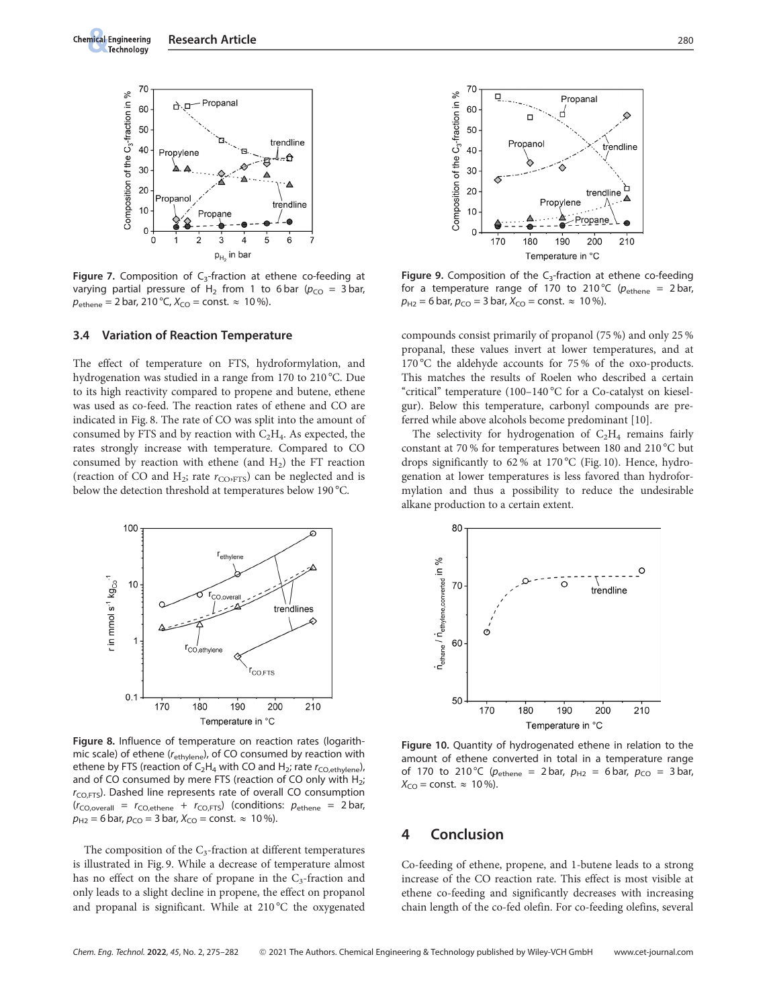

Figure 7. Composition of  $C_3$ -fraction at ethene co-feeding at varying partial pressure of H<sub>2</sub> from 1 to 6 bar ( $p_{CO}$  = 3 bar,  $p_{\text{ethene}} = 2 \text{ bar}$ , 210 °C,  $X_{\text{CO}} = \text{const.} \approx 10 \text{ %}.$ 

#### 3.4 Variation of Reaction Temperature

The effect of temperature on FTS, hydroformylation, and hydrogenation was studied in a range from 170 to 210 °C. Due to its high reactivity compared to propene and butene, ethene was used as co-feed. The reaction rates of ethene and CO are indicated in Fig. 8. The rate of CO was split into the amount of consumed by FTS and by reaction with  $C_2H_4$ . As expected, the rates strongly increase with temperature. Compared to CO consumed by reaction with ethene (and  $H_2$ ) the FT reaction (reaction of CO and  $H_2$ ; rate  $r_{\text{CO}:\text{FTS}}$ ) can be neglected and is below the detection threshold at temperatures below 190 °C.



Figure 8. Influence of temperature on reaction rates (logarithmic scale) of ethene (r<sub>ethylene</sub>), of CO consumed by reaction with ethene by FTS (reaction of C<sub>2</sub>H<sub>4</sub> with CO and H<sub>2</sub>; rate  $r_{\text{CO,ethylene}}$ ), and of CO consumed by mere FTS (reaction of CO only with  $H_2$ ;  $r_{\text{CO,FTS}}$ ). Dashed line represents rate of overall CO consumption  $(r_{CO,overall} = r_{CO,ethene} + r_{CO,FTS})$  (conditions:  $p_{ethene} = 2 \text{ bar}$ ,  $p_{H2} = 6$  bar,  $p_{CO} = 3$  bar,  $X_{CO} = \text{const.} \approx 10$ %).

The composition of the  $C_3$ -fraction at different temperatures is illustrated in Fig. 9. While a decrease of temperature almost has no effect on the share of propane in the  $C_3$ -fraction and only leads to a slight decline in propene, the effect on propanol and propanal is significant. While at  $210\,^{\circ}\mathrm{C}$  the oxygenated



Figure 9. Composition of the  $C_3$ -fraction at ethene co-feeding for a temperature range of 170 to 210 °C ( $p_{\text{ethene}} = 2 \text{bar}$  $p_{H2} = 6$  bar,  $p_{CO} = 3$  bar,  $X_{CO} = \text{const.} \approx 10\%$ ).

compounds consist primarily of propanol (75 %) and only 25 % propanal, these values invert at lower temperatures, and at 170 °C the aldehyde accounts for 75 % of the oxo-products. This matches the results of Roelen who described a certain "critical" temperature (100-140 °C for a Co-catalyst on kieselgur). Below this temperature, carbonyl compounds are preferred while above alcohols become predominant [10].

The selectivity for hydrogenation of  $C_2H_4$  remains fairly constant at 70 % for temperatures between 180 and 210 °C but drops significantly to 62% at 170 °C (Fig. 10). Hence, hydrogenation at lower temperatures is less favored than hydroformylation and thus a possibility to reduce the undesirable alkane production to a certain extent.



Figure 10. Quantity of hydrogenated ethene in relation to the amount of ethene converted in total in a temperature range of 170 to 210 °C ( $p_{\text{ethene}} = 2 \text{ bar}$ ,  $p_{H2} = 6 \text{ bar}$ ,  $p_{CO} = 3 \text{ bar}$ ,  $X_{\text{CO}} = \text{const.} \approx 10\%$ ).

# 4 Conclusion

Co-feeding of ethene, propene, and 1-butene leads to a strong increase of the CO reaction rate. This effect is most visible at ethene co-feeding and significantly decreases with increasing chain length of the co-fed olefin. For co-feeding olefins, several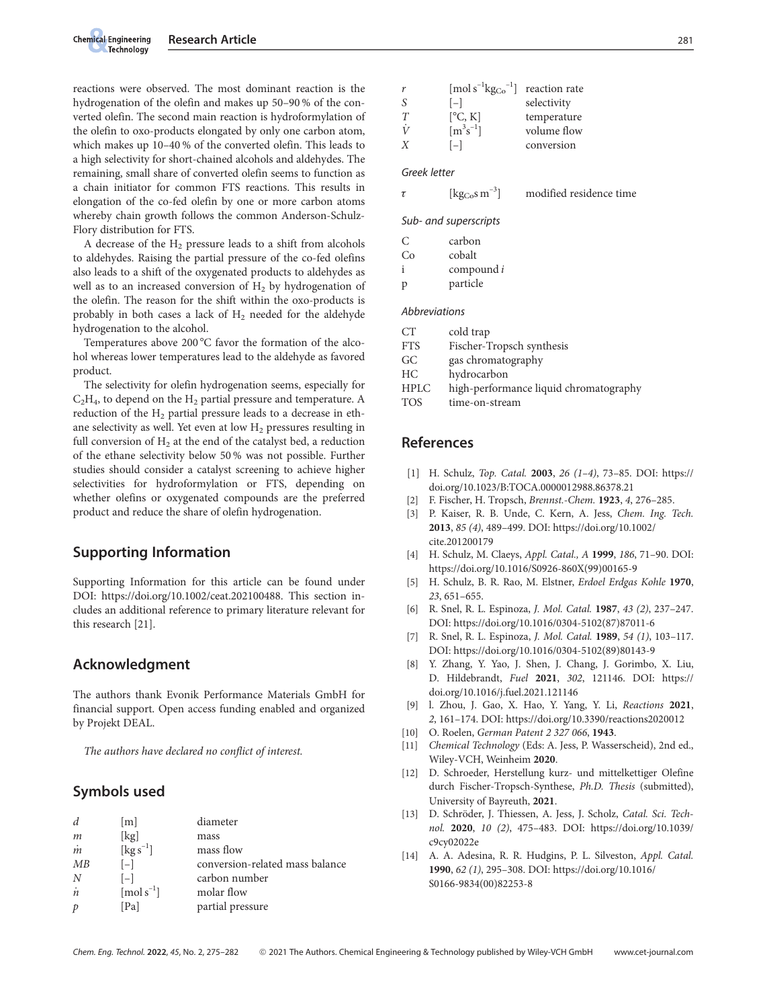reactions were observed. The most dominant reaction is the hydrogenation of the olefin and makes up 50–90 % of the converted olefin. The second main reaction is hydroformylation of the olefin to oxo-products elongated by only one carbon atom, which makes up 10–40 % of the converted olefin. This leads to a high selectivity for short-chained alcohols and aldehydes. The remaining, small share of converted olefin seems to function as a chain initiator for common FTS reactions. This results in elongation of the co-fed olefin by one or more carbon atoms whereby chain growth follows the common Anderson-Schulz-Flory distribution for FTS.

A decrease of the  $H_2$  pressure leads to a shift from alcohols to aldehydes. Raising the partial pressure of the co-fed olefins also leads to a shift of the oxygenated products to aldehydes as well as to an increased conversion of  $H<sub>2</sub>$  by hydrogenation of the olefin. The reason for the shift within the oxo-products is probably in both cases a lack of  $H_2$  needed for the aldehyde hydrogenation to the alcohol.

Temperatures above 200 °C favor the formation of the alcohol whereas lower temperatures lead to the aldehyde as favored product.

The selectivity for olefin hydrogenation seems, especially for  $C_2H_4$ , to depend on the  $H_2$  partial pressure and temperature. A reduction of the  $H_2$  partial pressure leads to a decrease in ethane selectivity as well. Yet even at low  $H_2$  pressures resulting in full conversion of  $H_2$  at the end of the catalyst bed, a reduction of the ethane selectivity below 50 % was not possible. Further studies should consider a catalyst screening to achieve higher selectivities for hydroformylation or FTS, depending on whether olefins or oxygenated compounds are the preferred product and reduce the share of olefin hydrogenation.

# Supporting Information

Supporting Information for this article can be found under DOI: https://doi.org/10.1002/ceat.202100488. This section includes an additional reference to primary literature relevant for this research [21].

# Acknowledgment

The authors thank Evonik Performance Materials GmbH for financial support. Open access funding enabled and organized by Projekt DEAL.

The authors have declared no conflict of interest.

# Symbols used

| d             | [m]                               | diameter                        |
|---------------|-----------------------------------|---------------------------------|
| m             | [kg]                              | mass                            |
| $\dot{m}$     | [ $\text{kg s}^{-1}$ ]            | mass flow                       |
| MB            | $[-]$                             | conversion-related mass balance |
| N             | $ - $                             | carbon number                   |
| $\dot{n}$     | $\lceil \text{mol s}^{-1} \rceil$ | molar flow                      |
| $\mathcal{P}$ | [Pa]                              | partial pressure                |

| r  | $\rm [mol\,s^{-1}kg_{Co}^{-1}]$ | reaction rate |
|----|---------------------------------|---------------|
| S. | $ - $                           | selectivity   |
| T  | [°C, K]                         | temperature   |
| Ϋ́ | $[m^3s^{-1}]$                   | volume flow   |
| X  | $ - $                           | conversion    |

#### Greek letter

 $\tau$  [kg<sub>Co</sub>s m<sup>-3</sup>] modified residence time

Sub- and superscripts

|     | carbon |
|-----|--------|
| C.O | cobalt |

| compound i |  |
|------------|--|
|            |  |

p particle

#### **Abbreviations**

| СT          | cold trap                              |
|-------------|----------------------------------------|
| <b>FTS</b>  | Fischer-Tropsch synthesis              |
| GC          | gas chromatography                     |
| HС          | hydrocarbon                            |
| <b>HPLC</b> | high-performance liquid chromatography |
| TOS         | time-on-stream                         |

# References

- [1] H. Schulz, Top. Catal. 2003, 26 (1–4), 73–85. DOI: https:// doi.org/10.1023/B:TOCA.0000012988.86378.21
- F. Fischer, H. Tropsch, Brennst.-Chem. 1923, 4, 276–285.
- [3] P. Kaiser, R. B. Unde, C. Kern, A. Jess, Chem. Ing. Tech. 2013, 85 (4), 489–499. DOI: https://doi.org/10.1002/ cite.201200179
- [4] H. Schulz, M. Claeys, Appl. Catal., A 1999, 186, 71–90. DOI: https://doi.org/10.1016/S0926-860X(99)00165-9
- [5] H. Schulz, B. R. Rao, M. Elstner, Erdoel Erdgas Kohle 1970, 23, 651–655.
- [6] R. Snel, R. L. Espinoza, J. Mol. Catal. 1987, 43 (2), 237–247. DOI: https://doi.org/10.1016/0304-5102(87)87011-6
- [7] R. Snel, R. L. Espinoza, J. Mol. Catal. 1989, 54 (1), 103–117. DOI: https://doi.org/10.1016/0304-5102(89)80143-9
- [8] Y. Zhang, Y. Yao, J. Shen, J. Chang, J. Gorimbo, X. Liu, D. Hildebrandt, Fuel 2021, 302, 121146. DOI: https:// doi.org/10.1016/j.fuel.2021.121146
- [9] l. Zhou, J. Gao, X. Hao, Y. Yang, Y. Li, Reactions 2021, 2, 161–174. DOI: https://doi.org/10.3390/reactions2020012
- [10] O. Roelen, *German Patent 2 327 066*, 1943.
- [11] Chemical Technology (Eds: A. Jess, P. Wasserscheid), 2nd ed., Wiley-VCH, Weinheim 2020.
- [12] D. Schroeder, Herstellung kurz- und mittelkettiger Olefine durch Fischer-Tropsch-Synthese, Ph.D. Thesis (submitted), University of Bayreuth, 2021.
- [13] D. Schröder, J. Thiessen, A. Jess, J. Scholz, Catal. Sci. Technol. 2020, 10 (2), 475–483. DOI: https://doi.org/10.1039/ c9cy02022e
- [14] A. A. Adesina, R. R. Hudgins, P. L. Silveston, Appl. Catal. 1990, 62 (1), 295–308. DOI: https://doi.org/10.1016/ S0166-9834(00)82253-8